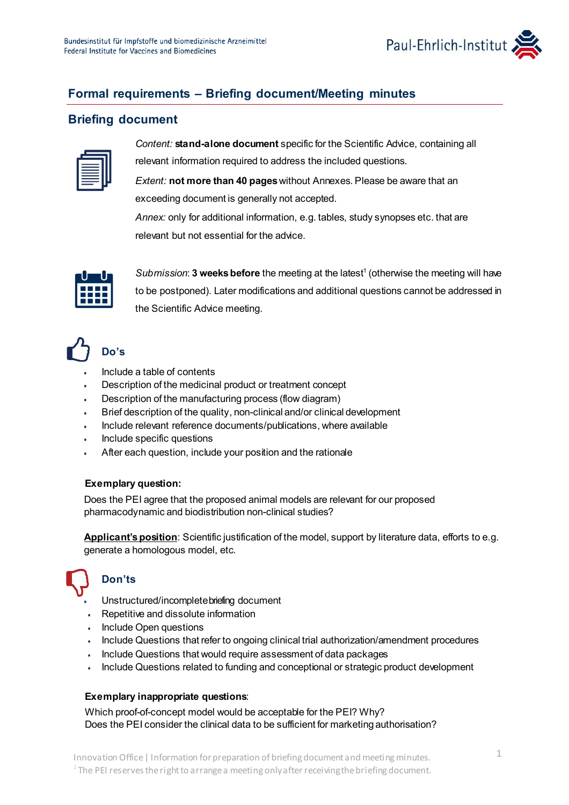

# **Formal requirements – Briefing document/Meeting minutes**

### **Briefing document**

| = |  |
|---|--|
|   |  |
|   |  |
|   |  |

*Content:* **stand-alone document** specific for the Scientific Advice, containing all relevant information required to address the included questions.

*Extent:* **not more than 40 pages**without Annexes. Please be aware that an exceeding document is generally not accepted.

*Annex:* only for additional information, e.g. tables, study synopses etc. that are relevant but not essential for the advice.



*Submission*: **3 weeks before** the meeting at the latest<sup>1</sup> (otherwise the meeting will have to be postponed). Later modifications and additional questions cannot be addressed in the Scientific Advice meeting.

# **Do's**

- Include a table of contents
- Description of the medicinal product or treatment concept
- Description of the manufacturing process (flow diagram)
- Brief description of the quality, non-clinical and/or clinical development
- Include relevant reference documents/publications, where available
- Include specific questions
- After each question, include your position and the rationale

#### **Exemplary question:**

Does the PEI agree that the proposed animal models are relevant for our proposed pharmacodynamic and biodistribution non-clinical studies?

**Applicant's position**: Scientific justification of the model, support by literature data, efforts to e.g. generate a homologous model, etc.

# • **Don'ts**

- Unstructured/incompletebriefing document
- Repetitive and dissolute information
- Include Open questions
- Include Questions that refer to ongoing clinical trial authorization/amendment procedures
- Include Questions that would require assessment of data packages
- Include Questions related to funding and conceptional or strategic product development

#### **Exemplary inappropriate questions**:

Which proof-of-concept model would be acceptable for the PEI? Why? Does the PEI consider the clinical data to be sufficient for marketing authorisation?